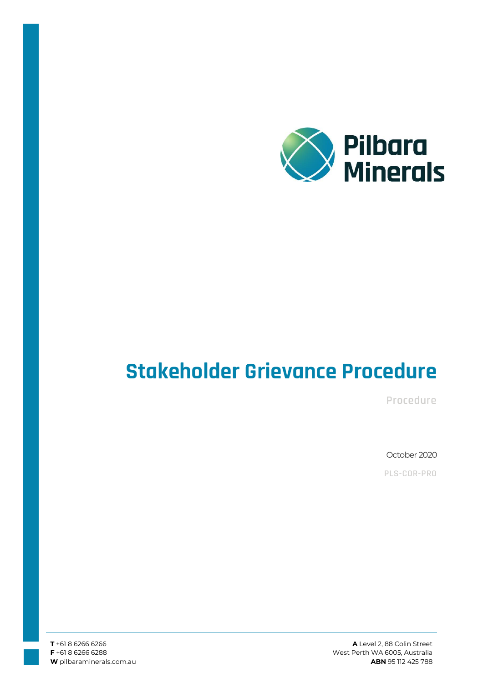

# **Stakeholder Grievance Procedure**

**Procedure**

October 2020

**PLS-COR-PRO**

**A** Level 2, 88 Colin Street West Perth WA 6005, Australia **ABN** 95 112 425 788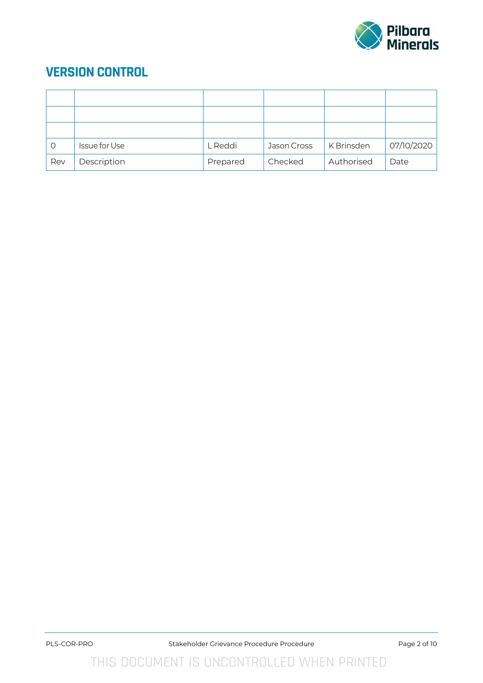

# **VERSION CONTROL**

| $\circ$ | <b>Issue for Use</b> | L Reddi  | Jason Cross | K Brinsden | 07/10/2020 |
|---------|----------------------|----------|-------------|------------|------------|
| Rev     | Description          | Prepared | Checked     | Authorised | Date       |

THIS DOCUMENT IS UNCONTROLLED WHEN PRINTED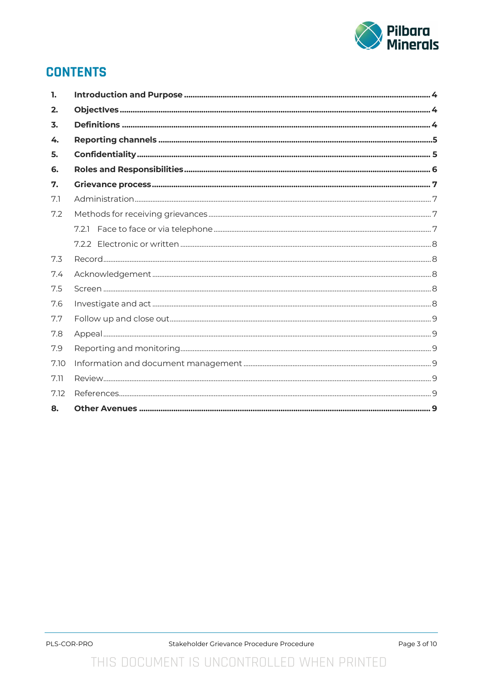

### **CONTENTS**

| 1.   |    |
|------|----|
| 2.   |    |
| 3.   |    |
| 4.   |    |
| 5.   |    |
| 6.   |    |
| 7.   |    |
| 7.1  |    |
| 7.2  |    |
|      |    |
|      |    |
| 7.3  |    |
| 7.4  |    |
| 7.5  |    |
| 7.6  |    |
| 7.7  |    |
| 7.8  |    |
| 7.9  |    |
| 7.10 |    |
| 7.11 |    |
| 7.12 |    |
| 8.   | .9 |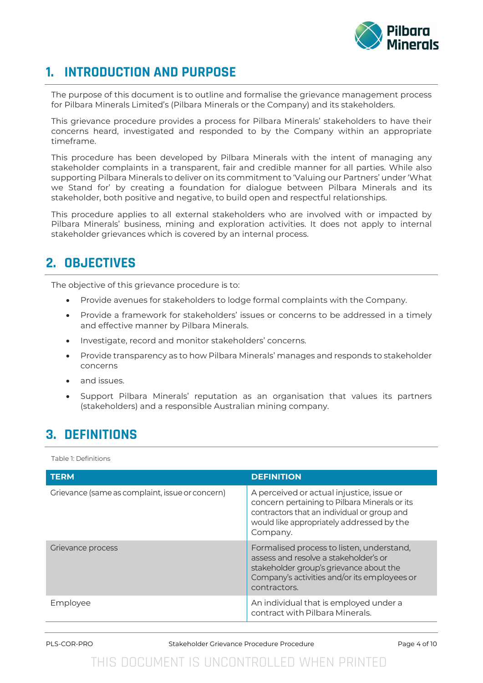

### **1. INTRODUCTION AND PURPOSE**

The purpose of this document is to outline and formalise the grievance management process for Pilbara Minerals Limited's (Pilbara Minerals or the Company) and its stakeholders.

This grievance procedure provides a process for Pilbara Minerals' stakeholders to have their concerns heard, investigated and responded to by the Company within an appropriate timeframe.

This procedure has been developed by Pilbara Minerals with the intent of managing any stakeholder complaints in a transparent, fair and credible manner for all parties. While also supporting Pilbara Minerals to deliver on its commitment to 'Valuing our Partners' under 'What we Stand for' by creating a foundation for dialogue between Pilbara Minerals and its stakeholder, both positive and negative, to build open and respectful relationships.

This procedure applies to all external stakeholders who are involved with or impacted by Pilbara Minerals' business, mining and exploration activities. It does not apply to internal stakeholder grievances which is covered by an internal process.

# **2. OBJECTIVES**

The objective of this grievance procedure is to:

- Provide avenues for stakeholders to lodge formal complaints with the Company.
- Provide a framework for stakeholders' issues or concerns to be addressed in a timely and effective manner by Pilbara Minerals.
- Investigate, record and monitor stakeholders' concerns.
- Provide transparency as to how Pilbara Minerals' manages and responds to stakeholder concerns
- and issues.
- Support Pilbara Minerals' reputation as an organisation that values its partners (stakeholders) and a responsible Australian mining company.

# **3. DEFINITIONS**

Table 1: Definitions

| <b>TERM</b>                                     | <b>DEFINITION</b>                                                                                                                                                                                  |
|-------------------------------------------------|----------------------------------------------------------------------------------------------------------------------------------------------------------------------------------------------------|
| Grievance (same as complaint, issue or concern) | A perceived or actual injustice, issue or<br>concern pertaining to Pilbara Minerals or its<br>contractors that an individual or group and<br>would like appropriately addressed by the<br>Company. |
| Grievance process                               | Formalised process to listen, understand,<br>assess and resolve a stakeholder's or<br>stakeholder group's grievance about the<br>Company's activities and/or its employees or<br>contractors.      |
| Employee                                        | An individual that is employed under a<br>contract with Pilbara Minerals.                                                                                                                          |

PLS-COR-PRO Stakeholder Grievance Procedure Procedure Procedure Page 4 of 10

# THIS DOCUMENT IS UNCONTROLLED WHEN PRINTED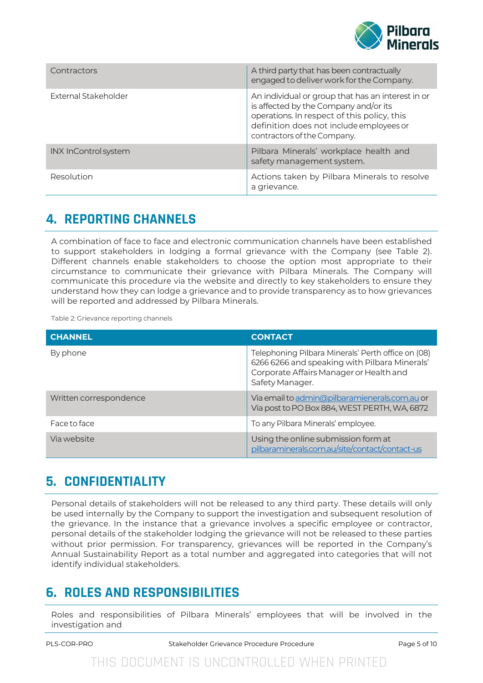

| Contractors          | A third party that has been contractually<br>engaged to deliver work for the Company.                                                                                                                                |
|----------------------|----------------------------------------------------------------------------------------------------------------------------------------------------------------------------------------------------------------------|
| External Stakeholder | An individual or group that has an interest in or<br>is affected by the Company and/or its<br>operations. In respect of this policy, this<br>definition does not include employees or<br>contractors of the Company. |
| INX InControl system | Pilbara Minerals' workplace health and<br>safety management system.                                                                                                                                                  |
| Resolution           | Actions taken by Pilbara Minerals to resolve<br>a grievance.                                                                                                                                                         |

# **4. REPORTING CHANNELS**

A combination of face to face and electronic communication channels have been established to support stakeholders in lodging a formal grievance with the Company (see Table 2). Different channels enable stakeholders to choose the option most appropriate to their circumstance to communicate their grievance with Pilbara Minerals. The Company will communicate this procedure via the website and directly to key stakeholders to ensure they understand how they can lodge a grievance and to provide transparency as to how grievances will be reported and addressed by Pilbara Minerals.

Table 2: Grievance reporting channels

| <b>CHANNEL</b>         | <b>CONTACT</b>                                                                                                                                                    |
|------------------------|-------------------------------------------------------------------------------------------------------------------------------------------------------------------|
| By phone               | Telephoning Pilbara Minerals' Perth office on (08)<br>6266 6266 and speaking with Pilbara Minerals'<br>Corporate Affairs Manager or Health and<br>Safety Manager. |
| Written correspondence | Via email to admin@pilbaramienerals.com.au or<br>Via post to PO Box 884, WEST PERTH, WA, 6872                                                                     |
| Face to face           | To any Pilbara Minerals' employee.                                                                                                                                |
| Via website            | Using the online submission form at<br>pilbaraminerals.com.au/site/contact/contact-us                                                                             |

# **5. CONFIDENTIALITY**

Personal details of stakeholders will not be released to any third party. These details will only be used internally by the Company to support the investigation and subsequent resolution of the grievance. In the instance that a grievance involves a specific employee or contractor, personal details of the stakeholder lodging the grievance will not be released to these parties without prior permission. For transparency, grievances will be reported in the Company's Annual Sustainability Report as a total number and aggregated into categories that will not identify individual stakeholders.

# **6. ROLES AND RESPONSIBILITIES**

Roles and responsibilities of Pilbara Minerals' employees that will be involved in the investigation and

PLS-COR-PRO Stakeholder Grievance Procedure Procedure Procedure Page 5 of 10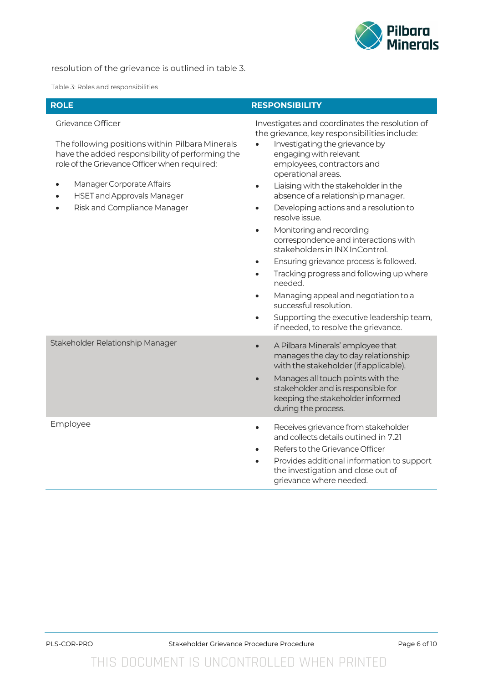

#### resolution of the grievance is outlined in table 3.

Table 3: Roles and responsibilities

| <b>ROLE</b>                                                                                                                                                                                                                                                              | <b>RESPONSIBILITY</b>                                                                                                                                                                                                                                                                                                                                                                                                                                                                                                                                                                                                                                                                                                                                                                    |  |
|--------------------------------------------------------------------------------------------------------------------------------------------------------------------------------------------------------------------------------------------------------------------------|------------------------------------------------------------------------------------------------------------------------------------------------------------------------------------------------------------------------------------------------------------------------------------------------------------------------------------------------------------------------------------------------------------------------------------------------------------------------------------------------------------------------------------------------------------------------------------------------------------------------------------------------------------------------------------------------------------------------------------------------------------------------------------------|--|
| Grievance Officer<br>The following positions within Pilbara Minerals<br>have the added responsibility of performing the<br>role of the Grievance Officer when required:<br>Manager Corporate Affairs<br><b>HSET and Approvals Manager</b><br>Risk and Compliance Manager | Investigates and coordinates the resolution of<br>the grievance, key responsibilities include:<br>Investigating the grievance by<br>engaging with relevant<br>employees, contractors and<br>operational areas.<br>Liaising with the stakeholder in the<br>$\bullet$<br>absence of a relationship manager.<br>Developing actions and a resolution to<br>$\bullet$<br>resolve issue.<br>Monitoring and recording<br>$\bullet$<br>correspondence and interactions with<br>stakeholders in INX InControl.<br>Ensuring grievance process is followed.<br>$\bullet$<br>Tracking progress and following up where<br>$\bullet$<br>needed.<br>Managing appeal and negotiation to a<br>successful resolution.<br>Supporting the executive leadership team,<br>if needed, to resolve the grievance. |  |
| Stakeholder Relationship Manager                                                                                                                                                                                                                                         | A Pilbara Minerals' employee that<br>$\bullet$<br>manages the day to day relationship<br>with the stakeholder (if applicable).<br>Manages all touch points with the<br>stakeholder and is responsible for<br>keeping the stakeholder informed<br>during the process.                                                                                                                                                                                                                                                                                                                                                                                                                                                                                                                     |  |
| Employee                                                                                                                                                                                                                                                                 | Receives grievance from stakeholder<br>$\bullet$<br>and collects details outined in 7.21<br>Refers to the Grievance Officer<br>Provides additional information to support<br>the investigation and close out of<br>grievance where needed.                                                                                                                                                                                                                                                                                                                                                                                                                                                                                                                                               |  |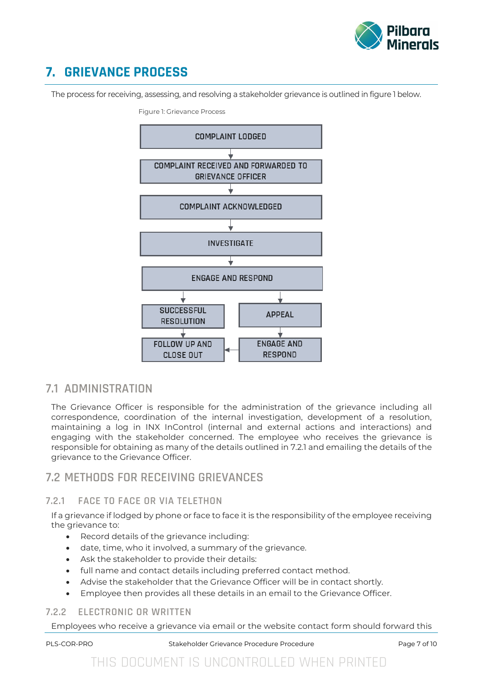

# **7. GRIEVANCE PROCESS**

The process for receiving, assessing, and resolving a stakeholder grievance is outlined in figure 1 below.



Figure 1: Grievance Process

### **7.1 ADMINISTRATION**

The Grievance Officer is responsible for the administration of the grievance including all correspondence, coordination of the internal investigation, development of a resolution, maintaining a log in INX InControl (internal and external actions and interactions) and engaging with the stakeholder concerned. The employee who receives the grievance is responsible for obtaining as many of the details outlined in 7.2.1 and emailing the details of the grievance to the Grievance Officer.

### **7.2 METHODS FOR RECEIVING GRIEVANCES**

#### **7.2.1 FACE TO FACE OR VIA TELETHON**

If a grievance if lodged by phone or face to face it is the responsibility of the employee receiving the grievance to:

- Record details of the grievance including:
- date, time, who it involved, a summary of the grievance.
- Ask the stakeholder to provide their details:
- full name and contact details including preferred contact method.
- Advise the stakeholder that the Grievance Officer will be in contact shortly.
- Employee then provides all these details in an email to the Grievance Officer.

#### **7.2.2 ELECTRONIC OR WRITTEN**

Employees who receive a grievance via email or the website contact form should forward this

PLS-COR-PRO Stakeholder Grievance Procedure Procedure Procedure Page 7 of 10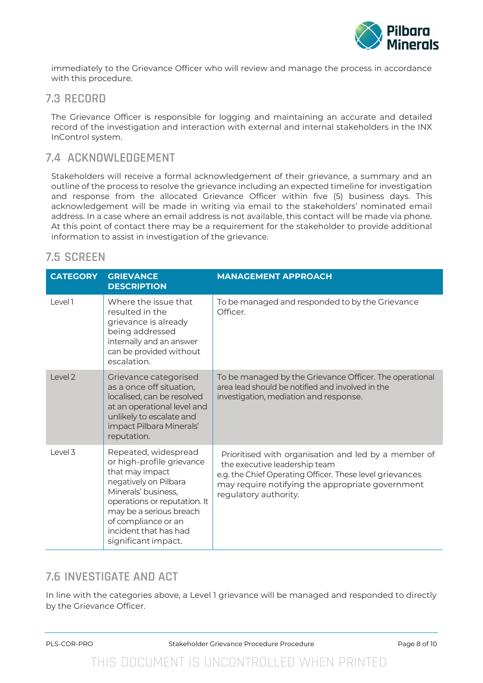

immediately to the Grievance Officer who will review and manage the process in accordance with this procedure.

#### **7.3 RECORD**

<span id="page-7-0"></span>The Grievance Officer is responsible for logging and maintaining an accurate and detailed record of the investigation and interaction with external and internal stakeholders in the INX InControl system.

### **7.4 ACKNOWLEDGEMENT**

Stakeholders will receive a formal acknowledgement of their grievance, a summary and an outline of the process to resolve the grievance including an expected timeline for investigation and response from the allocated Grievance Officer within five (5) business days. This acknowledgement will be made in writing via email to the stakeholders' nominated email address. In a case where an email address is not available, this contact will be made via phone. At this point of contact there may be a requirement for the stakeholder to provide additional information to assist in investigation of the grievance.

### **7.5 SCREEN**

| <b>CATEGORY</b>    | <b>GRIEVANCE</b><br><b>DESCRIPTION</b>                                                                                                                                                                                                                 | <b>MANAGEMENT APPROACH</b>                                                                                                                                                                                                     |
|--------------------|--------------------------------------------------------------------------------------------------------------------------------------------------------------------------------------------------------------------------------------------------------|--------------------------------------------------------------------------------------------------------------------------------------------------------------------------------------------------------------------------------|
| Level 1            | Where the issue that<br>resulted in the<br>grievance is already<br>being addressed<br>internally and an answer<br>can be provided without<br>escalation.                                                                                               | To be managed and responded to by the Grievance<br>Officer.                                                                                                                                                                    |
| $ $ evel $2$       | Grievance categorised<br>as a once off situation,<br>localised, can be resolved<br>at an operational level and<br>unlikely to escalate and<br>impact Pilbara Minerals'<br>reputation.                                                                  | To be managed by the Grievance Officer. The operational<br>area lead should be notified and involved in the<br>investigation, mediation and response.                                                                          |
| Level <sub>3</sub> | Repeated, widespread<br>or high-profile grievance<br>that may impact<br>negatively on Pilbara<br>Minerals' business,<br>operations or reputation. It<br>may be a serious breach<br>of compliance or an<br>incident that has had<br>significant impact. | Prioritised with organisation and led by a member of<br>the executive leadership team<br>e.g. the Chief Operating Officer. These level grievances<br>may require notifying the appropriate government<br>regulatory authority. |

### **7.6 INVESTIGATE AND ACT**

In line with the categories above, a Level 1 grievance will be managed and responded to directly by the Grievance Officer.

PLS-COR-PRO Stakeholder Grievance Procedure Procedure Procedure Page 8 of 10

# THIS DOCUMENT IS UNCONTROLLED WHEN PRINTED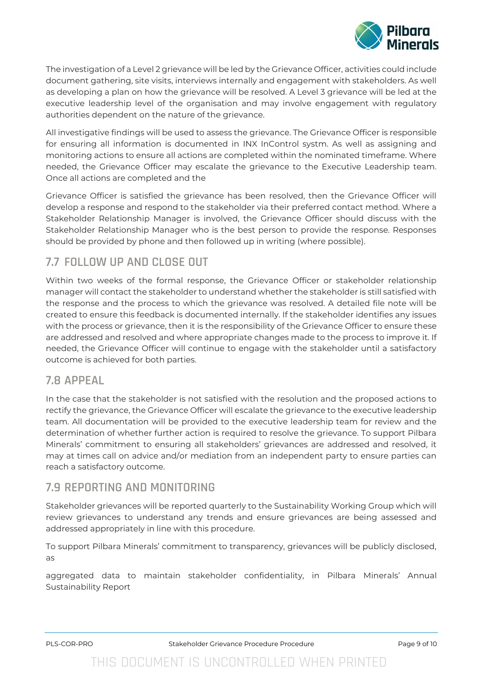

The investigation of a Level 2 grievance will be led by the Grievance Officer, activities could include document gathering, site visits, interviews internally and engagement with stakeholders. As well as developing a plan on how the grievance will be resolved. A Level 3 grievance will be led at the executive leadership level of the organisation and may involve engagement with regulatory authorities dependent on the nature of the grievance.

All investigative findings will be used to assess the grievance. The Grievance Officer is responsible for ensuring all information is documented in INX InControl systm. As well as assigning and monitoring actions to ensure all actions are completed within the nominated timeframe. Where needed, the Grievance Officer may escalate the grievance to the Executive Leadership team. Once all actions are completed and the

Grievance Officer is satisfied the grievance has been resolved, then the Grievance Officer will develop a response and respond to the stakeholder via their preferred contact method. Where a Stakeholder Relationship Manager is involved, the Grievance Officer should discuss with the Stakeholder Relationship Manager who is the best person to provide the response. Responses should be provided by phone and then followed up in writing (where possible).

### **7.7 FOLLOW UP AND CLOSE OUT**

Within two weeks of the formal response, the Grievance Officer or stakeholder relationship manager will contact the stakeholder to understand whether the stakeholder is still satisfied with the response and the process to which the grievance was resolved. A detailed file note will be created to ensure this feedback is documented internally. If the stakeholder identifies any issues with the process or grievance, then it is the responsibility of the Grievance Officer to ensure these are addressed and resolved and where appropriate changes made to the process to improve it. If needed, the Grievance Officer will continue to engage with the stakeholder until a satisfactory outcome is achieved for both parties.

### **7.8 APPEAL**

In the case that the stakeholder is not satisfied with the resolution and the proposed actions to rectify the grievance, the Grievance Officer will escalate the grievance to the executive leadership team. All documentation will be provided to the executive leadership team for review and the determination of whether further action is required to resolve the grievance. To support Pilbara Minerals' commitment to ensuring all stakeholders' grievances are addressed and resolved, it may at times call on advice and/or mediation from an independent party to ensure parties can reach a satisfactory outcome.

### **7.9 REPORTING AND MONITORING**

Stakeholder grievances will be reported quarterly to the Sustainability Working Group which will review grievances to understand any trends and ensure grievances are being assessed and addressed appropriately in line with this procedure.

To support Pilbara Minerals' commitment to transparency, grievances will be publicly disclosed, as

aggregated data to maintain stakeholder confidentiality, in Pilbara Minerals' Annual Sustainability Report